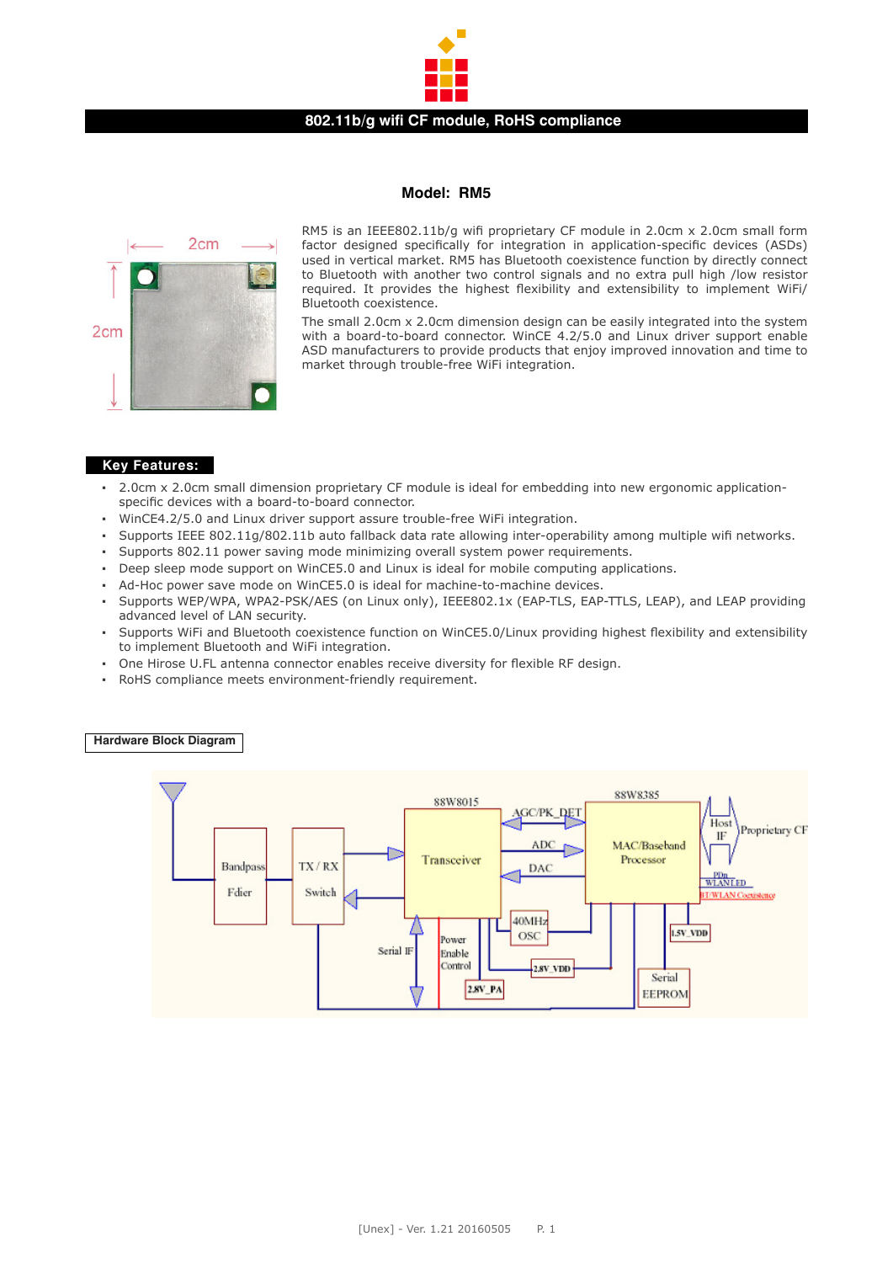

### **802.11b/g wifi CF module, RoHS compliance**

### **Model: RM5**



RM5 is an IEEE802.11b/g wifi proprietary CF module in 2.0cm x 2.0cm small form factor designed specifically for integration in application-specific devices (ASDs) used in vertical market. RM5 has Bluetooth coexistence function by directly connect to Bluetooth with another two control signals and no extra pull high /low resistor required. It provides the highest flexibility and extensibility to implement WiFi/ Bluetooth coexistence.

The small 2.0cm x 2.0cm dimension design can be easily integrated into the system with a board-to-board connector. WinCE 4.2/5.0 and Linux driver support enable ASD manufacturers to provide products that enjoy improved innovation and time to market through trouble-free WiFi integration.

## **Key Features:**

- 2.0cm x 2.0cm small dimension proprietary CF module is ideal for embedding into new ergonomic applicationspecific devices with a board-to-board connector.
- WinCE4.2/5.0 and Linux driver support assure trouble-free WiFi integration.
- Supports IEEE 802.11g/802.11b auto fallback data rate allowing inter-operability among multiple wifi networks.
- Supports 802.11 power saving mode minimizing overall system power requirements.
- Deep sleep mode support on WinCE5.0 and Linux is ideal for mobile computing applications.
- Ad-Hoc power save mode on WinCE5.0 is ideal for machine-to-machine devices.
- Supports WEP/WPA, WPA2-PSK/AES (on Linux only), IEEE802.1x (EAP-TLS, EAP-TTLS, LEAP), and LEAP providing advanced level of LAN security.
- Supports WiFi and Bluetooth coexistence function on WinCE5.0/Linux providing highest flexibility and extensibility to implement Bluetooth and WiFi integration.
- One Hirose U.FL antenna connector enables receive diversity for flexible RF design.
- RoHS compliance meets environment-friendly requirement.

### **Hardware Block Diagram**

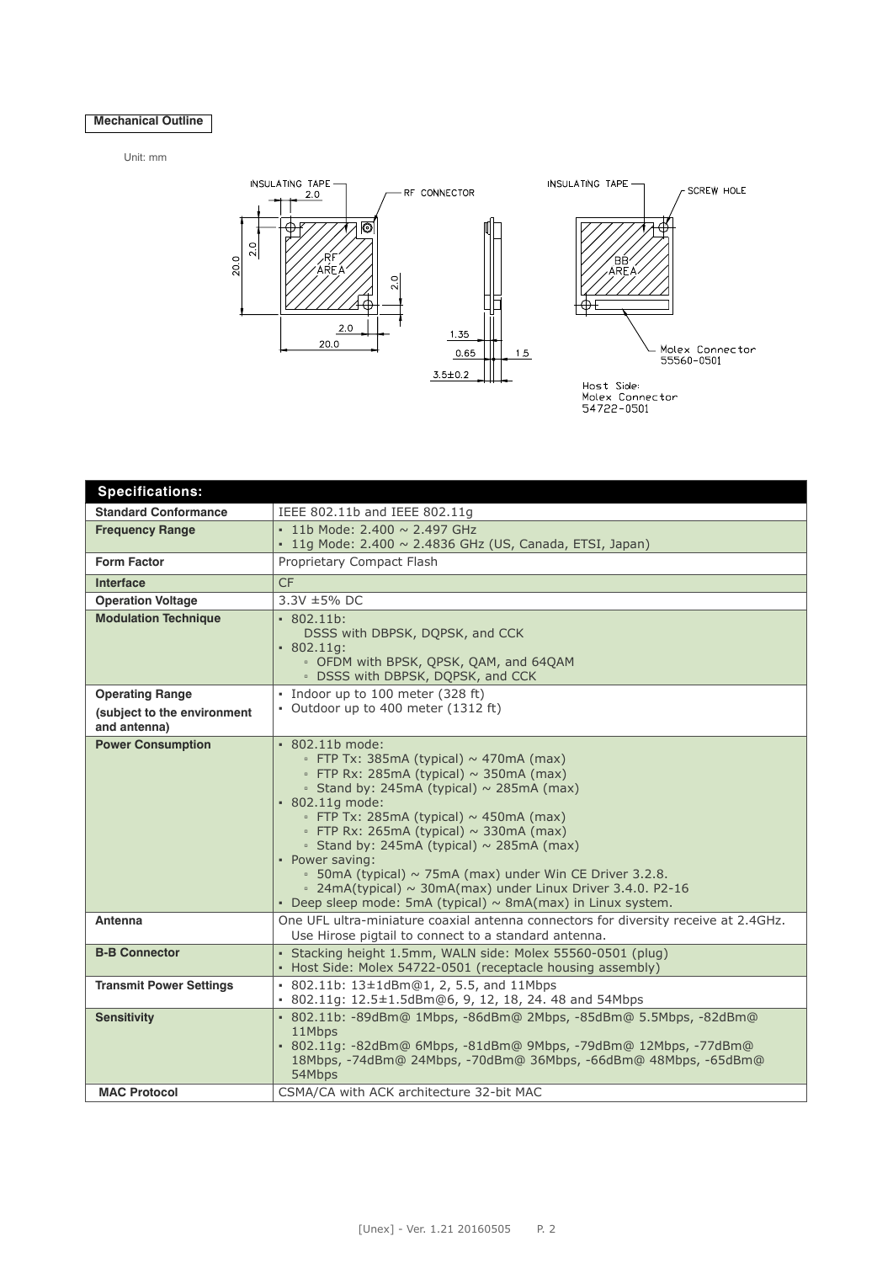# **Mechanical Outline**

Unit: mm



| <b>Specifications:</b>         |                                                                                                                                                                                                                                                                                                                                                                                                                                                                                                                                                                                 |
|--------------------------------|---------------------------------------------------------------------------------------------------------------------------------------------------------------------------------------------------------------------------------------------------------------------------------------------------------------------------------------------------------------------------------------------------------------------------------------------------------------------------------------------------------------------------------------------------------------------------------|
| <b>Standard Conformance</b>    | IEEE 802.11b and IEEE 802.11g                                                                                                                                                                                                                                                                                                                                                                                                                                                                                                                                                   |
| <b>Frequency Range</b>         | $\cdot$ 11b Mode: 2.400 $\sim$ 2.497 GHz                                                                                                                                                                                                                                                                                                                                                                                                                                                                                                                                        |
|                                | $\cdot$ 11g Mode: 2.400 $\sim$ 2.4836 GHz (US, Canada, ETSI, Japan)                                                                                                                                                                                                                                                                                                                                                                                                                                                                                                             |
| <b>Form Factor</b>             | Proprietary Compact Flash                                                                                                                                                                                                                                                                                                                                                                                                                                                                                                                                                       |
| <b>Interface</b>               | <b>CF</b>                                                                                                                                                                                                                                                                                                                                                                                                                                                                                                                                                                       |
| <b>Operation Voltage</b>       | 3.3V ±5% DC                                                                                                                                                                                                                                                                                                                                                                                                                                                                                                                                                                     |
| <b>Modulation Technique</b>    | $-802.11b$ :<br>DSSS with DBPSK, DQPSK, and CCK<br>$-802.11q$ :<br>• OFDM with BPSK, QPSK, QAM, and 64QAM<br>· DSSS with DBPSK, DQPSK, and CCK                                                                                                                                                                                                                                                                                                                                                                                                                                  |
| <b>Operating Range</b>         | · Indoor up to 100 meter (328 ft)                                                                                                                                                                                                                                                                                                                                                                                                                                                                                                                                               |
| (subject to the environment    | · Outdoor up to 400 meter (1312 ft)                                                                                                                                                                                                                                                                                                                                                                                                                                                                                                                                             |
| and antenna)                   |                                                                                                                                                                                                                                                                                                                                                                                                                                                                                                                                                                                 |
| <b>Power Consumption</b>       | $\cdot$ 802.11b mode:<br>• FTP Tx: 385mA (typical) $\sim$ 470mA (max)<br>• FTP Rx: 285mA (typical) $\sim$ 350mA (max)<br>• Stand by: 245mA (typical) ~ 285mA (max)<br>• 802.11g mode:<br>• FTP Tx: 285mA (typical) $\sim$ 450mA (max)<br>• FTP Rx: 265mA (typical) $\sim$ 330mA (max)<br>• Stand by: 245mA (typical) $\sim$ 285mA (max)<br>• Power saving:<br>$\cdot$ 50mA (typical) $\sim$ 75mA (max) under Win CE Driver 3.2.8.<br>$\sim$ 24mA(typical) $\sim$ 30mA(max) under Linux Driver 3.4.0. P2-16<br>• Deep sleep mode: 5mA (typical) $\sim$ 8mA(max) in Linux system. |
| <b>Antenna</b>                 | One UFL ultra-miniature coaxial antenna connectors for diversity receive at 2.4GHz.<br>Use Hirose pigtail to connect to a standard antenna.                                                                                                                                                                                                                                                                                                                                                                                                                                     |
| <b>B-B Connector</b>           | · Stacking height 1.5mm, WALN side: Molex 55560-0501 (plug)<br>• Host Side: Molex 54722-0501 (receptacle housing assembly)                                                                                                                                                                                                                                                                                                                                                                                                                                                      |
| <b>Transmit Power Settings</b> | • 802.11b: 13±1dBm@1, 2, 5.5, and 11Mbps<br>$\cdot$ 802.11g: 12.5 $\pm$ 1.5dBm@6, 9, 12, 18, 24. 48 and 54Mbps                                                                                                                                                                                                                                                                                                                                                                                                                                                                  |
| <b>Sensitivity</b>             | • 802.11b: -89dBm@ 1Mbps, -86dBm@ 2Mbps, -85dBm@ 5.5Mbps, -82dBm@<br>11Mbps<br>• 802.11g: -82dBm@ 6Mbps, -81dBm@ 9Mbps, -79dBm@ 12Mbps, -77dBm@<br>18Mbps, -74dBm@ 24Mbps, -70dBm@ 36Mbps, -66dBm@ 48Mbps, -65dBm@<br>54Mbps                                                                                                                                                                                                                                                                                                                                                    |
| <b>MAC Protocol</b>            | CSMA/CA with ACK architecture 32-bit MAC                                                                                                                                                                                                                                                                                                                                                                                                                                                                                                                                        |